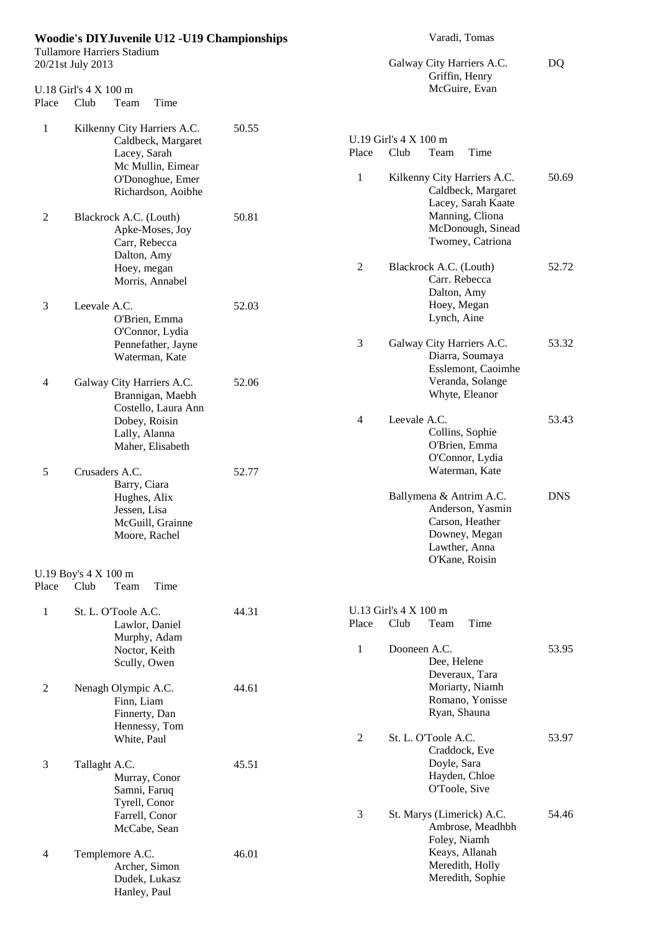|                | <b>Woodie's DIYJuvenile U12 -U19 Championships</b><br>Tullamore Harriers Stadium                                                 |       |                  | Varadi, Tomas<br>Galway City Harriers A.C.                                                                                           |            |
|----------------|----------------------------------------------------------------------------------------------------------------------------------|-------|------------------|--------------------------------------------------------------------------------------------------------------------------------------|------------|
|                | 20/21st July 2013                                                                                                                |       |                  | DQ                                                                                                                                   |            |
| Place          | U.18 Girl's 4 X 100 m<br>Club<br>Time<br>Team                                                                                    |       |                  | Griffin, Henry<br>McGuire, Evan                                                                                                      |            |
| $\mathbf{1}$   | Kilkenny City Harriers A.C.<br>Caldbeck, Margaret<br>Lacey, Sarah<br>Mc Mullin, Eimear<br>O'Donoghue, Emer<br>Richardson, Aoibhe | 50.55 | Place<br>1       | U.19 Girl's 4 X 100 m<br>Club<br>Time<br>Team<br>Kilkenny City Harriers A.C.<br>Caldbeck, Margaret                                   | 50.69      |
| $\overline{2}$ | Blackrock A.C. (Louth)<br>Apke-Moses, Joy<br>Carr, Rebecca<br>Dalton, Amy<br>Hoey, megan                                         | 50.81 | $\boldsymbol{2}$ | Lacey, Sarah Kaate<br>Manning, Cliona<br>McDonough, Sinead<br>Twomey, Catriona<br>Blackrock A.C. (Louth)                             | 52.72      |
| 3              | Morris, Annabel<br>Leevale A.C.<br>O'Brien, Emma                                                                                 | 52.03 |                  | Carr. Rebecca<br>Dalton, Amy<br>Hoey, Megan<br>Lynch, Aine                                                                           |            |
| 4              | O'Connor, Lydia<br>Pennefather, Jayne<br>Waterman, Kate<br>Galway City Harriers A.C.                                             | 52.06 | 3                | Galway City Harriers A.C.<br>Diarra, Soumaya<br>Esslemont, Caoimhe<br>Veranda, Solange                                               | 53.32      |
|                | Brannigan, Maebh<br>Costello, Laura Ann<br>Dobey, Roisin<br>Lally, Alanna<br>Maher, Elisabeth                                    |       | $\overline{4}$   | Whyte, Eleanor<br>Leevale A.C.<br>Collins, Sophie<br>O'Brien, Emma<br>O'Connor, Lydia                                                | 53.43      |
| 5              | Crusaders A.C.<br>Barry, Ciara<br>Hughes, Alix<br>Jessen, Lisa<br>McGuill, Grainne<br>Moore, Rachel                              | 52.77 |                  | Waterman, Kate<br>Ballymena & Antrim A.C.<br>Anderson, Yasmin<br>Carson, Heather<br>Downey, Megan<br>Lawther, Anna<br>O'Kane, Roisin | <b>DNS</b> |
| Place          | U.19 Boy's 4 X 100 m<br>Club<br>Time<br>Team                                                                                     |       |                  |                                                                                                                                      |            |
| 1              | St. L. O'Toole A.C.<br>Lawlor, Daniel<br>Murphy, Adam<br>Noctor, Keith<br>Scully, Owen                                           | 44.31 | Place<br>1       | U.13 Girl's 4 X 100 m<br>Club<br>Time<br>Team<br>Dooneen A.C.<br>Dee, Helene                                                         | 53.95      |
| $\mathbf{2}$   | Nenagh Olympic A.C.<br>Finn, Liam<br>Finnerty, Dan<br>Hennessy, Tom                                                              | 44.61 |                  | Deveraux, Tara<br>Moriarty, Niamh<br>Romano, Yonisse<br>Ryan, Shauna                                                                 |            |
| $\mathfrak{Z}$ | White, Paul<br>Tallaght A.C.<br>Murray, Conor<br>Samni, Faruq                                                                    | 45.51 | $\sqrt{2}$       | St. L. O'Toole A.C.<br>Craddock, Eve<br>Doyle, Sara<br>Hayden, Chloe<br>O'Toole, Sive                                                | 53.97      |
| 4              | Tyrell, Conor<br>Farrell, Conor<br>McCabe, Sean<br>Templemore A.C.                                                               | 46.01 | $\mathfrak{Z}$   | St. Marys (Limerick) A.C.<br>Ambrose, Meadhbh<br>Foley, Niamh<br>Keays, Allanah<br>Meredith, Holly                                   | 54.46      |
|                | Archer, Simon<br>Dudek, Lukasz<br>Hanley, Paul                                                                                   |       |                  | Meredith, Sophie                                                                                                                     |            |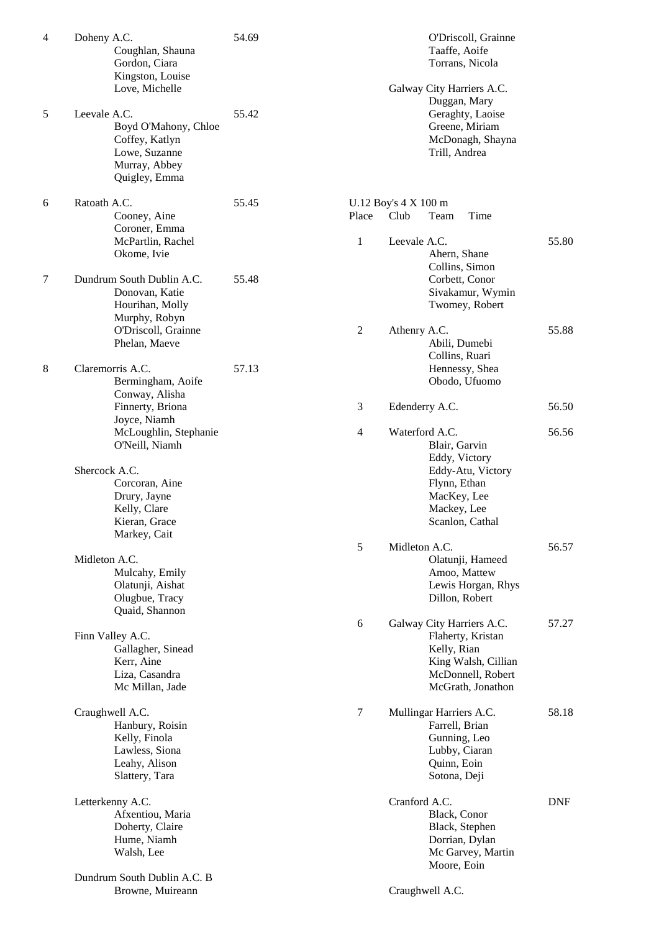| $\overline{4}$ | Doheny A.C.<br>Coughlan, Shauna<br>Gordon, Ciara<br>Kingston, Louise<br>Love, Michelle                    | 54.69 |              | Galway                   |
|----------------|-----------------------------------------------------------------------------------------------------------|-------|--------------|--------------------------|
| 5              | Leevale A.C.<br>Boyd O'Mahony, Chloe<br>Coffey, Katlyn<br>Lowe, Suzanne<br>Murray, Abbey<br>Quigley, Emma | 55.42 |              |                          |
| 6              | Ratoath A.C.<br>Cooney, Aine                                                                              | 55.45 | Place        | U.12 Boy's 4 X 1<br>Club |
|                | Coroner, Emma<br>McPartlin, Rachel<br>Okome, Ivie                                                         |       | $\mathbf{1}$ | Leevale                  |
| 7              | Dundrum South Dublin A.C.<br>Donovan, Katie<br>Hourihan, Molly<br>Murphy, Robyn                           | 55.48 |              |                          |
|                | O'Driscoll, Grainne<br>Phelan, Maeve                                                                      |       | 2            | Athenry                  |
| 8              | Claremorris A.C.<br>Bermingham, Aoife<br>Conway, Alisha                                                   | 57.13 |              |                          |
|                | Finnerty, Briona<br>Joyce, Niamh                                                                          |       | 3            | Edender                  |
|                | McLoughlin, Stephanie<br>O'Neill, Niamh                                                                   |       | 4            | Waterfo                  |
|                | Shercock A.C.<br>Corcoran, Aine<br>Drury, Jayne<br>Kelly, Clare<br>Kieran, Grace                          |       |              |                          |
|                | Markey, Cait                                                                                              |       | 5            | Midleto                  |
|                | Midleton A.C.<br>Mulcahy, Emily<br>Olatunji, Aishat<br>Olugbue, Tracy<br>Quaid, Shannon                   |       |              |                          |
|                | Finn Valley A.C.                                                                                          |       | 6            | Galway                   |
|                | Gallagher, Sinead<br>Kerr, Aine<br>Liza, Casandra<br>Mc Millan, Jade                                      |       |              |                          |
|                | Craughwell A.C.<br>Hanbury, Roisin<br>Kelly, Finola<br>Lawless, Siona<br>Leahy, Alison<br>Slattery, Tara  |       | 7            | Mulling                  |
|                | Letterkenny A.C.<br>Afxentiou, Maria<br>Doherty, Claire<br>Hume, Niamh<br>Walsh, Lee                      |       |              | Cranfor                  |
|                | Dundrum South Dublin A.C. B<br>Browne, Muireann                                                           |       |              | Craughy                  |

|       | Taaffe, Aoife<br>Torrans, Nicola                                                                                                       |       |
|-------|----------------------------------------------------------------------------------------------------------------------------------------|-------|
|       | Galway City Harriers A.C.<br>Duggan, Mary<br>Geraghty, Laoise<br>Greene, Miriam<br>McDonagh, Shayna<br>Trill, Andrea                   |       |
| Place | U.12 Boy's 4 X 100 m<br>Club<br>Team<br>Time                                                                                           |       |
| 1     | Leevale A.C.<br>Ahern, Shane<br>Collins, Simon<br>Corbett, Conor<br>Sivakamur, Wymin<br>Twomey, Robert                                 | 55.80 |
| 2     | Athenry A.C.<br>Abili, Dumebi<br>Collins, Ruari<br>Hennessy, Shea<br>Obodo, Ufuomo                                                     | 55.88 |
| 3     | Edenderry A.C.                                                                                                                         | 56.50 |
| 4     | Waterford A.C.<br>Blair, Garvin<br>Eddy, Victory<br>Eddy-Atu, Victory<br>Flynn, Ethan<br>MacKey, Lee<br>Mackey, Lee<br>Scanlon, Cathal | 56.56 |
| 5     | Midleton A.C.<br>Olatunji, Hameed<br>Amoo, Mattew<br>Lewis Horgan, Rhys<br>Dillon, Robert                                              | 56.57 |
| 6     | Galway City Harriers A.C.<br>Flaherty, Kristan<br>Kelly, Rian<br>King Walsh, Cillian<br>McDonnell, Robert<br>McGrath, Jonathon         | 57.27 |
| 7     | Mullingar Harriers A.C.<br>Farrell, Brian<br>Gunning, Leo<br>Lubby, Ciaran<br>Quinn, Eoin<br>Sotona, Deji                              | 58.18 |
|       | Cranford A.C.<br>Black, Conor<br>Black, Stephen<br>Dorrian, Dylan<br>Mc Garvey, Martin<br>Moore, Eoin                                  | DNF   |
|       | Craughwell A.C.                                                                                                                        |       |

O'Driscoll, Grainne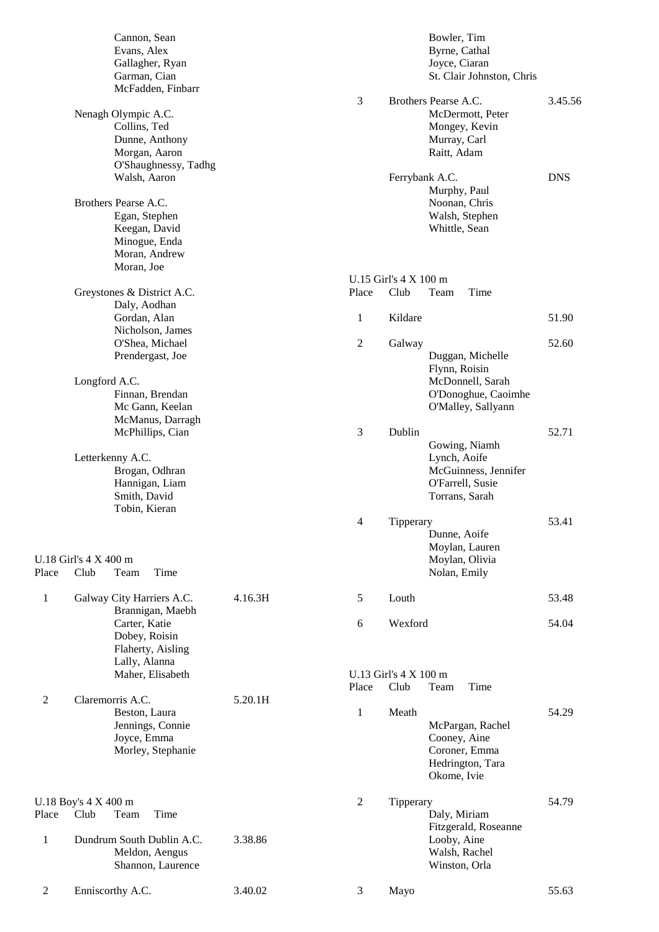|                | Cannon, Sean               |         |                |                       | Bowler, Tim               |            |
|----------------|----------------------------|---------|----------------|-----------------------|---------------------------|------------|
|                | Evans, Alex                |         |                |                       | Byrne, Cathal             |            |
|                | Gallagher, Ryan            |         |                |                       | Joyce, Ciaran             |            |
|                | Garman, Cian               |         |                |                       | St. Clair Johnston, Chris |            |
|                | McFadden, Finbarr          |         |                |                       |                           |            |
|                |                            |         | $\overline{3}$ |                       | Brothers Pearse A.C.      | 3.45.56    |
|                | Nenagh Olympic A.C.        |         |                |                       | McDermott, Peter          |            |
|                | Collins, Ted               |         |                |                       | Mongey, Kevin             |            |
|                | Dunne, Anthony             |         |                |                       | Murray, Carl              |            |
|                | Morgan, Aaron              |         |                |                       | Raitt, Adam               |            |
|                | O'Shaughnessy, Tadhg       |         |                |                       |                           |            |
|                | Walsh, Aaron               |         |                |                       | Ferrybank A.C.            | <b>DNS</b> |
|                |                            |         |                |                       | Murphy, Paul              |            |
|                | Brothers Pearse A.C.       |         |                |                       | Noonan, Chris             |            |
|                | Egan, Stephen              |         |                |                       | Walsh, Stephen            |            |
|                | Keegan, David              |         |                |                       | Whittle, Sean             |            |
|                | Minogue, Enda              |         |                |                       |                           |            |
|                | Moran, Andrew              |         |                |                       |                           |            |
|                | Moran, Joe                 |         |                |                       |                           |            |
|                |                            |         |                | U.15 Girl's 4 X 100 m |                           |            |
|                | Greystones & District A.C. |         | Place          | Club                  | Time<br>Team              |            |
|                | Daly, Aodhan               |         |                |                       |                           |            |
|                | Gordan, Alan               |         | 1              | Kildare               |                           | 51.90      |
|                | Nicholson, James           |         |                |                       |                           |            |
|                | O'Shea, Michael            |         | $\mathfrak{2}$ | Galway                |                           | 52.60      |
|                | Prendergast, Joe           |         |                |                       | Duggan, Michelle          |            |
|                |                            |         |                |                       | Flynn, Roisin             |            |
|                | Longford A.C.              |         |                |                       | McDonnell, Sarah          |            |
|                | Finnan, Brendan            |         |                |                       | O'Donoghue, Caoimhe       |            |
|                | Mc Gann, Keelan            |         |                |                       | O'Malley, Sallyann        |            |
|                | McManus, Darragh           |         |                |                       |                           |            |
|                |                            |         |                | Dublin                |                           | 52.71      |
|                | McPhillips, Cian           |         | 3              |                       |                           |            |
|                |                            |         |                |                       | Gowing, Niamh             |            |
|                | Letterkenny A.C.           |         |                |                       | Lynch, Aoife              |            |
|                | Brogan, Odhran             |         |                |                       | McGuinness, Jennifer      |            |
|                | Hannigan, Liam             |         |                |                       | O'Farrell, Susie          |            |
|                | Smith, David               |         |                |                       | Torrans, Sarah            |            |
|                | Tobin, Kieran              |         |                |                       |                           |            |
|                |                            |         | $\overline{4}$ | Tipperary             |                           | 53.41      |
|                |                            |         |                |                       | Dunne, Aoife              |            |
|                |                            |         |                |                       | Moylan, Lauren            |            |
|                | U.18 Girl's 4 X 400 m      |         |                |                       | Moylan, Olivia            |            |
| Place          | Club<br>Time<br>Team       |         |                |                       | Nolan, Emily              |            |
|                |                            |         |                |                       |                           |            |
| $\mathbf{1}$   | Galway City Harriers A.C.  | 4.16.3H | 5              | Louth                 |                           | 53.48      |
|                | Brannigan, Maebh           |         |                |                       |                           |            |
|                | Carter, Katie              |         | 6              | Wexford               |                           | 54.04      |
|                | Dobey, Roisin              |         |                |                       |                           |            |
|                | Flaherty, Aisling          |         |                |                       |                           |            |
|                | Lally, Alanna              |         |                |                       |                           |            |
|                | Maher, Elisabeth           |         |                | U.13 Girl's 4 X 100 m |                           |            |
|                |                            |         | Place          | Club                  | Team<br>Time              |            |
| $\mathfrak{2}$ | Claremorris A.C.           | 5.20.1H |                |                       |                           |            |
|                | Beston, Laura              |         | 1              | Meath                 |                           | 54.29      |
|                | Jennings, Connie           |         |                |                       | McPargan, Rachel          |            |
|                | Joyce, Emma                |         |                |                       | Cooney, Aine              |            |
|                | Morley, Stephanie          |         |                |                       | Coroner, Emma             |            |
|                |                            |         |                |                       | Hedrington, Tara          |            |
|                |                            |         |                |                       |                           |            |
|                |                            |         |                |                       | Okome, Ivie               |            |
|                |                            |         |                |                       |                           |            |
|                | U.18 Boy's 4 X 400 m       |         | $\mathfrak{2}$ | Tipperary             |                           | 54.79      |
| Place          | Club<br>Time<br>Team       |         |                |                       | Daly, Miriam              |            |
|                |                            |         |                |                       | Fitzgerald, Roseanne      |            |
| $\mathbf{1}$   | Dundrum South Dublin A.C.  | 3.38.86 |                |                       | Looby, Aine               |            |
|                | Meldon, Aengus             |         |                |                       | Walsh, Rachel             |            |
|                | Shannon, Laurence          |         |                |                       | Winston, Orla             |            |
|                |                            |         |                |                       |                           |            |
| 2              | Enniscorthy A.C.           | 3.40.02 | 3              | Mayo                  |                           | 55.63      |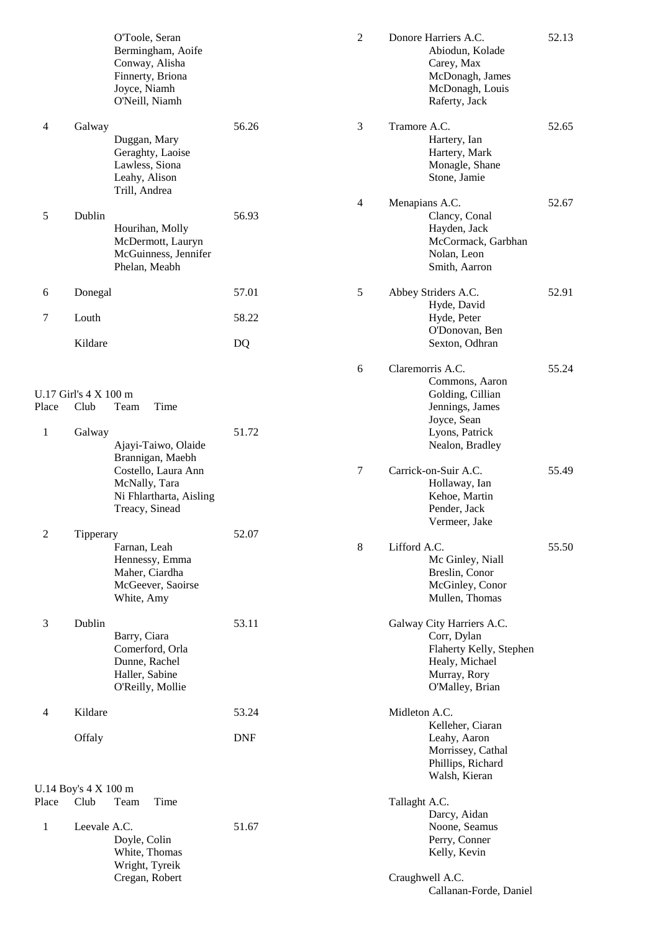|                       |                                         | O'Toole, Seran<br>Bermingham, Aoife<br>Conway, Alisha<br>Finnerty, Briona<br>Joyce, Niamh<br>O'Neill, Niamh                  |            | $\mathbf{2}$   | Donore Harriers A.C.<br>Abiodun, Kolade<br>Carey, Max<br>McDonagh, James<br>McDonagh, Louis<br>Raferty, Jack             | 52.13 |
|-----------------------|-----------------------------------------|------------------------------------------------------------------------------------------------------------------------------|------------|----------------|--------------------------------------------------------------------------------------------------------------------------|-------|
| 4                     | Galway                                  | Duggan, Mary<br>Geraghty, Laoise<br>Lawless, Siona<br>Leahy, Alison<br>Trill, Andrea                                         | 56.26      | 3              | Tramore A.C.<br>Hartery, Ian<br>Hartery, Mark<br>Monagle, Shane<br>Stone, Jamie                                          | 52.65 |
| 5                     | Dublin                                  | Hourihan, Molly<br>McDermott, Lauryn<br>McGuinness, Jennifer<br>Phelan, Meabh                                                | 56.93      | $\overline{4}$ | Menapians A.C.<br>Clancy, Conal<br>Hayden, Jack<br>McCormack, Garbhan<br>Nolan, Leon<br>Smith, Aarron                    | 52.67 |
| 6                     | Donegal                                 |                                                                                                                              | 57.01      | 5              | Abbey Striders A.C.<br>Hyde, David                                                                                       | 52.91 |
| 7                     | Louth                                   |                                                                                                                              | 58.22      |                | Hyde, Peter<br>O'Donovan, Ben                                                                                            |       |
|                       | Kildare                                 |                                                                                                                              | DQ         |                | Sexton, Odhran                                                                                                           |       |
| Place<br>$\mathbf{1}$ | U.17 Girl's 4 X 100 m<br>Club<br>Galway | Time<br>Team                                                                                                                 | 51.72      | 6              | Claremorris A.C.<br>Commons, Aaron<br>Golding, Cillian<br>Jennings, James<br>Joyce, Sean<br>Lyons, Patrick               | 55.24 |
|                       |                                         | Ajayi-Taiwo, Olaide<br>Brannigan, Maebh<br>Costello, Laura Ann<br>McNally, Tara<br>Ni Fhlartharta, Aisling<br>Treacy, Sinead |            | $\tau$         | Nealon, Bradley<br>Carrick-on-Suir A.C.<br>Hollaway, Ian<br>Kehoe, Martin<br>Pender, Jack<br>Vermeer, Jake               | 55.49 |
| $\overline{c}$        | Tipperary                               | Farnan, Leah<br>Hennessy, Emma<br>Maher, Ciardha<br>McGeever, Saoirse<br>White, Amy                                          | 52.07      | 8              | Lifford A.C.<br>Mc Ginley, Niall<br>Breslin, Conor<br>McGinley, Conor<br>Mullen, Thomas                                  | 55.50 |
| 3                     | Dublin                                  | Barry, Ciara<br>Comerford, Orla<br>Dunne, Rachel<br>Haller, Sabine<br>O'Reilly, Mollie                                       | 53.11      |                | Galway City Harriers A.C.<br>Corr, Dylan<br>Flaherty Kelly, Stephen<br>Healy, Michael<br>Murray, Rory<br>O'Malley, Brian |       |
| 4                     | Kildare                                 |                                                                                                                              | 53.24      |                | Midleton A.C.<br>Kelleher, Ciaran                                                                                        |       |
|                       | Offaly                                  |                                                                                                                              | <b>DNF</b> |                | Leahy, Aaron<br>Morrissey, Cathal<br>Phillips, Richard<br>Walsh, Kieran                                                  |       |
| Place                 | U.14 Boy's 4 X 100 m<br>Club            | Time<br>Team                                                                                                                 |            |                | Tallaght A.C.                                                                                                            |       |
| 1                     | Leevale A.C.                            | Doyle, Colin<br>White, Thomas                                                                                                | 51.67      |                | Darcy, Aidan<br>Noone, Seamus<br>Perry, Conner<br>Kelly, Kevin                                                           |       |
|                       |                                         | Wright, Tyreik<br>Cregan, Robert                                                                                             |            |                | Craughwell A.C.<br>Callanan-Forde, Daniel                                                                                |       |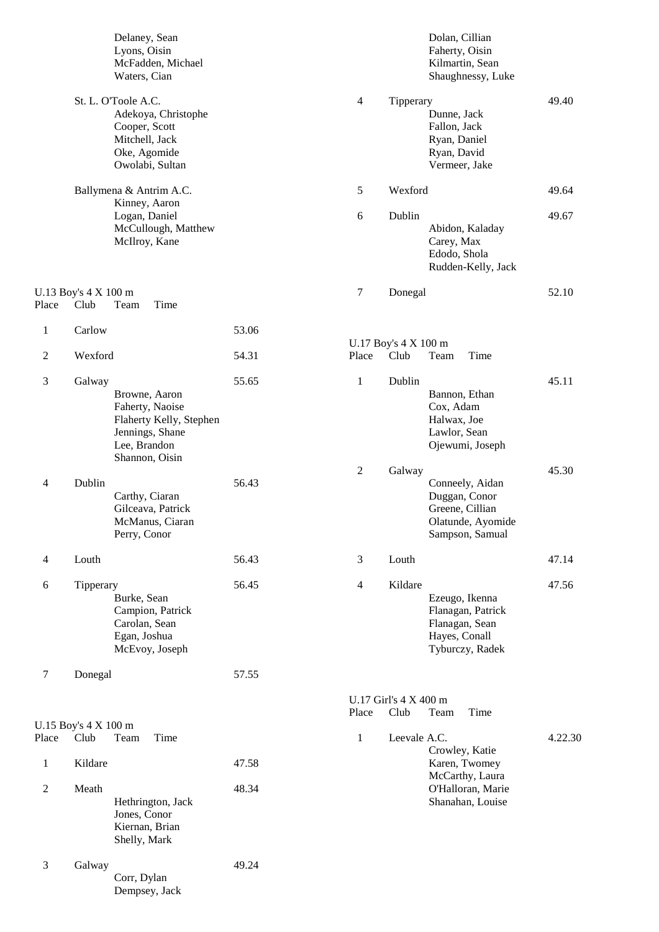|                |                              | Delaney, Sean<br>Lyons, Oisin<br>McFadden, Michael<br>Waters, Cian                                               |       |                |                               | Dolan, Cillian<br>Faherty, Oisin<br>Kilmartin, Sean<br>Shaughnessy, Luke                    |         |
|----------------|------------------------------|------------------------------------------------------------------------------------------------------------------|-------|----------------|-------------------------------|---------------------------------------------------------------------------------------------|---------|
|                |                              | St. L. O'Toole A.C.<br>Adekoya, Christophe<br>Cooper, Scott<br>Mitchell, Jack<br>Oke, Agomide<br>Owolabi, Sultan |       | $\overline{4}$ | Tipperary                     | Dunne, Jack<br>Fallon, Jack<br>Ryan, Daniel<br>Ryan, David<br>Vermeer, Jake                 | 49.40   |
|                |                              | Ballymena & Antrim A.C.<br>Kinney, Aaron                                                                         |       | 5              | Wexford                       |                                                                                             | 49.64   |
|                |                              | Logan, Daniel<br>McCullough, Matthew<br>McIlroy, Kane                                                            |       | 6              | Dublin                        | Abidon, Kaladay<br>Carey, Max<br>Edodo, Shola<br>Rudden-Kelly, Jack                         | 49.67   |
| Place          | U.13 Boy's 4 X 100 m<br>Club | Time<br>Team                                                                                                     |       | 7              | Donegal                       |                                                                                             | 52.10   |
| 1              | Carlow                       |                                                                                                                  | 53.06 |                |                               |                                                                                             |         |
| $\overline{2}$ | Wexford                      |                                                                                                                  | 54.31 | Place          | U.17 Boy's 4 X 100 m<br>Club  | Team<br>Time                                                                                |         |
| 3              | Galway                       | Browne, Aaron<br>Faherty, Naoise<br>Flaherty Kelly, Stephen<br>Jennings, Shane<br>Lee, Brandon<br>Shannon, Oisin | 55.65 | $\mathbf{1}$   | Dublin                        | Bannon, Ethan<br>Cox, Adam<br>Halwax, Joe<br>Lawlor, Sean<br>Ojewumi, Joseph                | 45.11   |
| $\overline{4}$ | Dublin                       | Carthy, Ciaran<br>Gilceava, Patrick<br>McManus, Ciaran<br>Perry, Conor                                           | 56.43 | $\overline{2}$ | Galway                        | Conneely, Aidan<br>Duggan, Conor<br>Greene, Cillian<br>Olatunde, Ayomide<br>Sampson, Samual | 45.30   |
| $\overline{4}$ | Louth                        |                                                                                                                  | 56.43 | 3              | Louth                         |                                                                                             | 47.14   |
| 6              | Tipperary                    | Burke, Sean<br>Campion, Patrick<br>Carolan, Sean<br>Egan, Joshua<br>McEvoy, Joseph                               | 56.45 | $\overline{4}$ | Kildare                       | Ezeugo, Ikenna<br>Flanagan, Patrick<br>Flanagan, Sean<br>Hayes, Conall<br>Tyburczy, Radek   | 47.56   |
| $\tau$         | Donegal                      |                                                                                                                  | 57.55 |                |                               |                                                                                             |         |
|                |                              |                                                                                                                  |       | Place          | U.17 Girl's 4 X 400 m<br>Club | Team<br>Time                                                                                |         |
| Place          | U.15 Boy's 4 X 100 m<br>Club | Team<br>Time                                                                                                     |       | $\mathbf{1}$   | Leevale A.C.                  |                                                                                             | 4.22.30 |
| $\mathbf{1}$   | Kildare                      |                                                                                                                  | 47.58 |                |                               | Crowley, Katie<br>Karen, Twomey<br>McCarthy, Laura                                          |         |
| $\mathbf{2}$   | Meath                        | Hethrington, Jack<br>Jones, Conor<br>Kiernan, Brian<br>Shelly, Mark                                              | 48.34 |                |                               | O'Halloran, Marie<br>Shanahan, Louise                                                       |         |
| 3              | Galway                       | Corr, Dylan<br>Dempsey, Jack                                                                                     | 49.24 |                |                               |                                                                                             |         |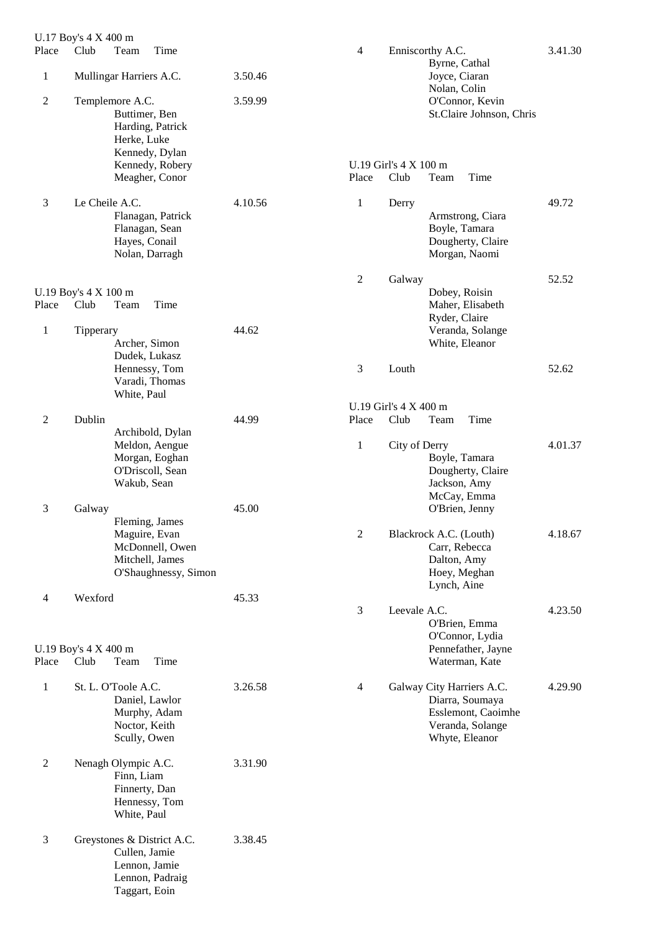| Place          | U.17 Boy's 4 X 400 m<br>Club | Time<br>Team                                                                                     |         | 4              |                                      | Enniscorthy A.C.                                                                                         | 3.41.30 |
|----------------|------------------------------|--------------------------------------------------------------------------------------------------|---------|----------------|--------------------------------------|----------------------------------------------------------------------------------------------------------|---------|
| $\mathbf{1}$   |                              | Mullingar Harriers A.C.                                                                          | 3.50.46 |                |                                      | Byrne, Cathal<br>Joyce, Ciaran                                                                           |         |
| $\overline{2}$ |                              | Templemore A.C.<br>Buttimer, Ben<br>Harding, Patrick<br>Herke, Luke<br>Kennedy, Dylan            | 3.59.99 |                |                                      | Nolan, Colin<br>O'Connor, Kevin<br>St.Claire Johnson, Chris                                              |         |
|                |                              | Kennedy, Robery<br>Meagher, Conor                                                                |         | Place          | U.19 Girl's $4 \times 100$ m<br>Club | Time<br>Team                                                                                             |         |
| $\mathfrak{Z}$ | Le Cheile A.C.               | Flanagan, Patrick<br>Flanagan, Sean<br>Hayes, Conail<br>Nolan, Darragh                           | 4.10.56 | $\mathbf{1}$   | Derry                                | Armstrong, Ciara<br>Boyle, Tamara<br>Dougherty, Claire<br>Morgan, Naomi                                  | 49.72   |
|                |                              |                                                                                                  |         | $\mathfrak{2}$ | Galway                               |                                                                                                          | 52.52   |
| Place          | U.19 Boy's 4 X 100 m<br>Club | Team<br>Time                                                                                     |         |                |                                      | Dobey, Roisin<br>Maher, Elisabeth<br>Ryder, Claire                                                       |         |
| 1              | Tipperary                    | Archer, Simon                                                                                    | 44.62   |                |                                      | Veranda, Solange<br>White, Eleanor                                                                       |         |
|                |                              | Dudek, Lukasz<br>Hennessy, Tom<br>Varadi, Thomas<br>White, Paul                                  |         | 3              | Louth                                |                                                                                                          | 52.62   |
|                |                              |                                                                                                  |         |                | U.19 Girl's 4 X 400 m                |                                                                                                          |         |
| $\overline{2}$ | Dublin                       | Archibold, Dylan                                                                                 | 44.99   | Place          | Club                                 | Time<br>Team                                                                                             |         |
|                |                              | Meldon, Aengue<br>Morgan, Eoghan<br>O'Driscoll, Sean<br>Wakub, Sean                              |         | $\mathbf{1}$   | City of Derry                        | Boyle, Tamara<br>Dougherty, Claire<br>Jackson, Amy<br>McCay, Emma                                        | 4.01.37 |
| 3              | Galway                       | Fleming, James                                                                                   | 45.00   |                |                                      | O'Brien, Jenny                                                                                           |         |
|                |                              | Maguire, Evan<br>McDonnell, Owen<br>Mitchell, James<br>O'Shaughnessy, Simon                      |         | $\overline{2}$ |                                      | Blackrock A.C. (Louth)<br>Carr, Rebecca<br>Dalton, Amy<br>Hoey, Meghan<br>Lynch, Aine                    | 4.18.67 |
| $\overline{4}$ | Wexford                      |                                                                                                  | 45.33   |                |                                      |                                                                                                          |         |
| Place          | U.19 Boy's 4 X 400 m<br>Club | Team<br>Time                                                                                     |         | $\mathfrak{Z}$ | Leevale A.C.                         | O'Brien, Emma<br>O'Connor, Lydia<br>Pennefather, Jayne<br>Waterman, Kate                                 | 4.23.50 |
| $\mathbf{1}$   |                              | St. L. O'Toole A.C.<br>Daniel, Lawlor<br>Murphy, Adam<br>Noctor, Keith<br>Scully, Owen           | 3.26.58 | $\overline{4}$ |                                      | Galway City Harriers A.C.<br>Diarra, Soumaya<br>Esslemont, Caoimhe<br>Veranda, Solange<br>Whyte, Eleanor | 4.29.90 |
| $\mathbf{2}$   |                              | Nenagh Olympic A.C.<br>Finn, Liam<br>Finnerty, Dan<br>Hennessy, Tom<br>White, Paul               | 3.31.90 |                |                                      |                                                                                                          |         |
| 3              |                              | Greystones & District A.C.<br>Cullen, Jamie<br>Lennon, Jamie<br>Lennon, Padraig<br>Taggart, Eoin | 3.38.45 |                |                                      |                                                                                                          |         |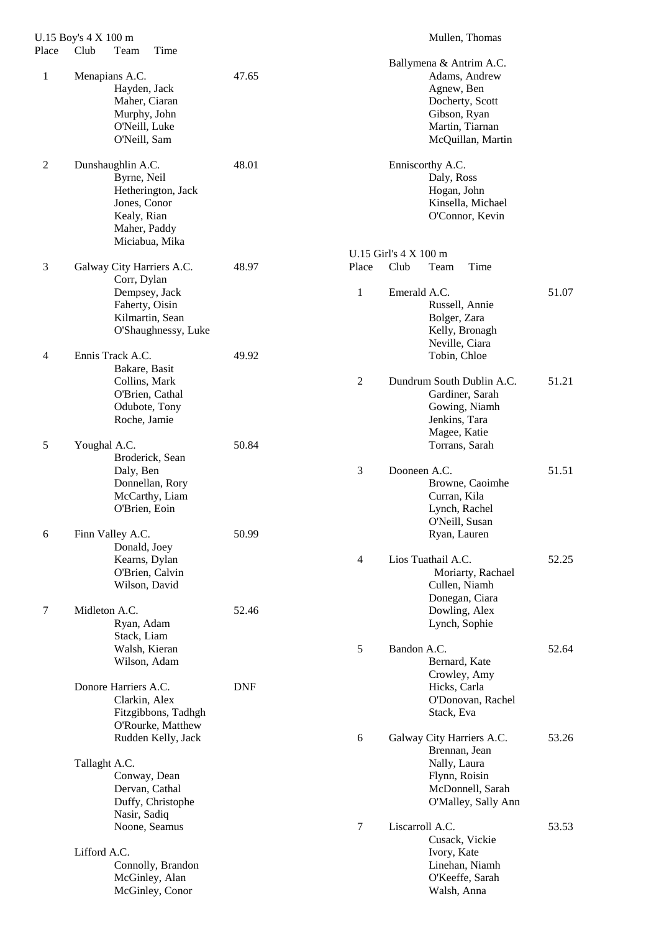| Place          | U.15 Boy's 4 X 100 m<br>Club<br>Time<br>Team                                                                            |            |                | Mullen, Thomas                                                                                                                    |       |
|----------------|-------------------------------------------------------------------------------------------------------------------------|------------|----------------|-----------------------------------------------------------------------------------------------------------------------------------|-------|
| $\mathbf{1}$   | Menapians A.C.<br>Hayden, Jack<br>Maher, Ciaran<br>Murphy, John<br>O'Neill, Luke<br>O'Neill, Sam                        | 47.65      |                | Ballymena & Antrim A.C.<br>Adams, Andrew<br>Agnew, Ben<br>Docherty, Scott<br>Gibson, Ryan<br>Martin, Tiarnan<br>McQuillan, Martin |       |
| $\overline{2}$ | Dunshaughlin A.C.<br>Byrne, Neil<br>Hetherington, Jack<br>Jones, Conor<br>Kealy, Rian<br>Maher, Paddy<br>Miciabua, Mika | 48.01      |                | Enniscorthy A.C.<br>Daly, Ross<br>Hogan, John<br>Kinsella, Michael<br>O'Connor, Kevin<br>U.15 Girl's 4 X 100 m                    |       |
| 3              | Galway City Harriers A.C.                                                                                               | 48.97      | Place          | Club<br>Time<br>Team                                                                                                              |       |
|                | Corr, Dylan<br>Dempsey, Jack<br>Faherty, Oisin<br>Kilmartin, Sean<br>O'Shaughnessy, Luke                                |            | $\mathbf{1}$   | Emerald A.C.<br>Russell, Annie<br>Bolger, Zara<br>Kelly, Bronagh<br>Neville, Ciara                                                | 51.07 |
| $\overline{4}$ | Ennis Track A.C.<br>Bakare, Basit<br>Collins, Mark<br>O'Brien, Cathal<br>Odubote, Tony<br>Roche, Jamie                  | 49.92      | $\overline{2}$ | Tobin, Chloe<br>Dundrum South Dublin A.C.<br>Gardiner, Sarah<br>Gowing, Niamh<br>Jenkins, Tara                                    | 51.21 |
| 5              | Youghal A.C.<br>Broderick, Sean<br>Daly, Ben<br>Donnellan, Rory                                                         | 50.84      | 3              | Magee, Katie<br>Torrans, Sarah<br>Dooneen A.C.<br>Browne, Caoimhe                                                                 | 51.51 |
| 6              | McCarthy, Liam<br>O'Brien, Eoin<br>Finn Valley A.C.<br>Donald, Joey                                                     | 50.99      |                | Curran, Kila<br>Lynch, Rachel<br>O'Neill, Susan<br>Ryan, Lauren                                                                   |       |
|                | Kearns, Dylan<br>O'Brien, Calvin<br>Wilson, David                                                                       |            | 4              | Lios Tuathail A.C.<br>Moriarty, Rachael<br>Cullen, Niamh<br>Donegan, Ciara                                                        | 52.25 |
| 7              | Midleton A.C.<br>Ryan, Adam<br>Stack, Liam<br>Walsh, Kieran                                                             | 52.46      | 5              | Dowling, Alex<br>Lynch, Sophie<br>Bandon A.C.                                                                                     | 52.64 |
|                | Wilson, Adam<br>Donore Harriers A.C.                                                                                    | <b>DNF</b> |                | Bernard, Kate<br>Crowley, Amy<br>Hicks, Carla                                                                                     |       |
|                | Clarkin, Alex<br>Fitzgibbons, Tadhgh<br>O'Rourke, Matthew                                                               |            |                | O'Donovan, Rachel<br>Stack, Eva                                                                                                   |       |
|                | Rudden Kelly, Jack<br>Tallaght A.C.<br>Conway, Dean<br>Dervan, Cathal<br>Duffy, Christophe<br>Nasir, Sadiq              |            | 6              | Galway City Harriers A.C.<br>Brennan, Jean<br>Nally, Laura<br>Flynn, Roisin<br>McDonnell, Sarah<br>O'Malley, Sally Ann            | 53.26 |
|                | Noone, Seamus<br>Lifford A.C.<br>Connolly, Brandon<br>McGinley, Alan<br>McGinley, Conor                                 |            | 7              | Liscarroll A.C.<br>Cusack, Vickie<br>Ivory, Kate<br>Linehan, Niamh<br>O'Keeffe, Sarah<br>Walsh, Anna                              | 53.53 |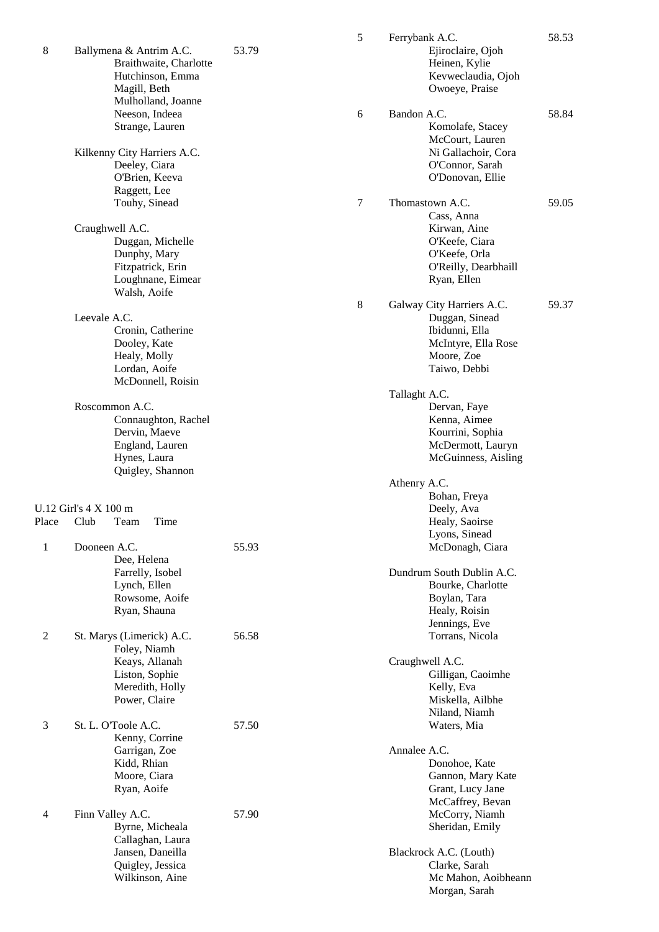| 8              | Ballymena & Antrim A.C.<br>Braithwaite, Charlotte<br>Hutchinson, Emma<br>Magill, Beth<br>Mulholland, Joanne | 53.79 | 5 | Ferrybank A.C.<br>Ejiroclaire, Ojoh<br>Heinen, Kylie<br>Kevweclaudia, Ojoh<br>Owoeye, Praise | 58.53 |
|----------------|-------------------------------------------------------------------------------------------------------------|-------|---|----------------------------------------------------------------------------------------------|-------|
|                | Neeson, Indeea<br>Strange, Lauren                                                                           |       | 6 | Bandon A.C.<br>Komolafe, Stacey<br>McCourt, Lauren                                           | 58.84 |
|                | Kilkenny City Harriers A.C.<br>Deeley, Ciara<br>O'Brien, Keeva<br>Raggett, Lee                              |       |   | Ni Gallachoir, Cora<br>O'Connor, Sarah<br>O'Donovan, Ellie                                   |       |
|                | Touhy, Sinead<br>Craughwell A.C.                                                                            |       | 7 | Thomastown A.C.<br>Cass, Anna<br>Kirwan, Aine                                                | 59.05 |
|                | Duggan, Michelle<br>Dunphy, Mary<br>Fitzpatrick, Erin<br>Loughnane, Eimear<br>Walsh, Aoife                  |       |   | O'Keefe, Ciara<br>O'Keefe, Orla<br>O'Reilly, Dearbhaill<br>Ryan, Ellen                       |       |
|                | Leevale A.C.<br>Cronin, Catherine                                                                           |       | 8 | Galway City Harriers A.C.<br>Duggan, Sinead<br>Ibidunni, Ella<br>McIntyre, Ella Rose         | 59.37 |
|                | Dooley, Kate<br>Healy, Molly<br>Lordan, Aoife<br>McDonnell, Roisin                                          |       |   | Moore, Zoe<br>Taiwo, Debbi                                                                   |       |
|                |                                                                                                             |       |   | Tallaght A.C.                                                                                |       |
|                | Roscommon A.C.<br>Connaughton, Rachel<br>Dervin, Maeve<br>England, Lauren<br>Hynes, Laura                   |       |   | Dervan, Faye<br>Kenna, Aimee<br>Kourrini, Sophia<br>McDermott, Lauryn<br>McGuinness, Aisling |       |
|                | Quigley, Shannon                                                                                            |       |   | Athenry A.C.<br>Bohan, Freya                                                                 |       |
|                | U.12 Girl's 4 X 100 m                                                                                       |       |   | Deely, Ava                                                                                   |       |
| Place<br>1     | Club<br>Time<br>Team<br>Dooneen A.C.                                                                        | 55.93 |   | Healy, Saoirse<br>Lyons, Sinead<br>McDonagh, Ciara                                           |       |
|                | Dee, Helena<br>Farrelly, Isobel                                                                             |       |   | Dundrum South Dublin A.C.                                                                    |       |
|                | Lynch, Ellen<br>Rowsome, Aoife                                                                              |       |   | Bourke, Charlotte<br>Boylan, Tara                                                            |       |
|                | Ryan, Shauna                                                                                                |       |   | Healy, Roisin<br>Jennings, Eve                                                               |       |
| 2              | St. Marys (Limerick) A.C.<br>Foley, Niamh                                                                   | 56.58 |   | Torrans, Nicola                                                                              |       |
|                | Keays, Allanah<br>Liston, Sophie<br>Meredith, Holly<br>Power, Claire                                        |       |   | Craughwell A.C.<br>Gilligan, Caoimhe<br>Kelly, Eva<br>Miskella, Ailbhe                       |       |
| 3              | St. L. O'Toole A.C.                                                                                         | 57.50 |   | Niland, Niamh<br>Waters, Mia                                                                 |       |
|                | Kenny, Corrine<br>Garrigan, Zoe                                                                             |       |   | Annalee A.C.                                                                                 |       |
|                | Kidd, Rhian<br>Moore, Ciara<br>Ryan, Aoife                                                                  |       |   | Donohoe, Kate<br>Gannon, Mary Kate<br>Grant, Lucy Jane<br>McCaffrey, Bevan                   |       |
| $\overline{4}$ | Finn Valley A.C.<br>Byrne, Micheala<br>Callaghan, Laura                                                     | 57.90 |   | McCorry, Niamh<br>Sheridan, Emily                                                            |       |
|                | Jansen, Daneilla<br>Quigley, Jessica<br>Wilkinson, Aine                                                     |       |   | Blackrock A.C. (Louth)<br>Clarke, Sarah<br>Mc Mahon, Aoibheann<br>Morgan, Sarah              |       |